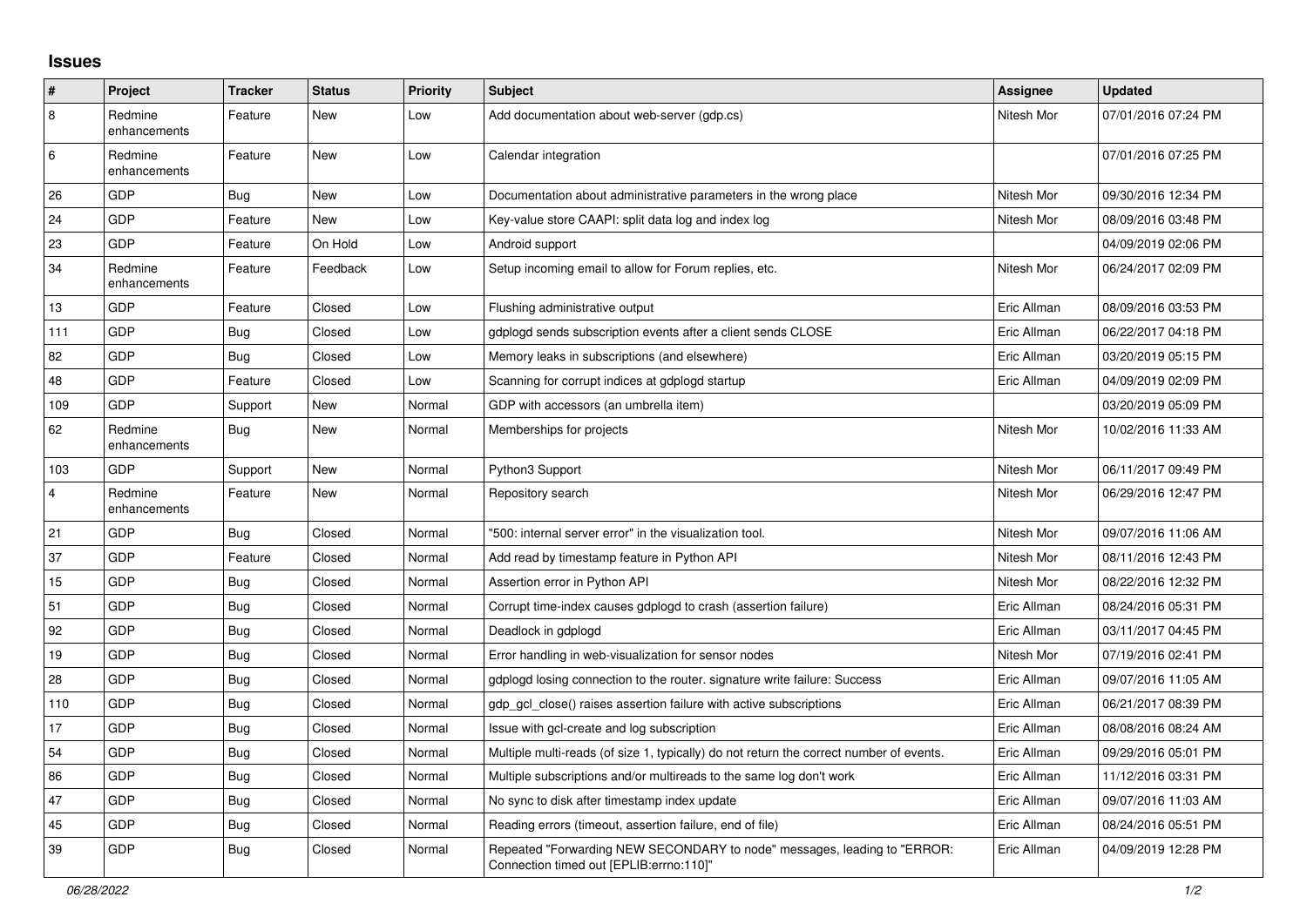## **Issues**

| #              | Project                 | <b>Tracker</b> | <b>Status</b> | <b>Priority</b> | <b>Subject</b>                                                                                                      | Assignee    | <b>Updated</b>      |
|----------------|-------------------------|----------------|---------------|-----------------|---------------------------------------------------------------------------------------------------------------------|-------------|---------------------|
| 8              | Redmine<br>enhancements | Feature        | New           | Low             | Add documentation about web-server (gdp.cs)                                                                         | Nitesh Mor  | 07/01/2016 07:24 PM |
| 6              | Redmine<br>enhancements | Feature        | New           | Low             | Calendar integration                                                                                                |             | 07/01/2016 07:25 PM |
| 26             | GDP                     | Bug            | New           | Low             | Documentation about administrative parameters in the wrong place                                                    | Nitesh Mor  | 09/30/2016 12:34 PM |
| 24             | GDP                     | Feature        | New           | Low             | Key-value store CAAPI: split data log and index log                                                                 | Nitesh Mor  | 08/09/2016 03:48 PM |
| 23             | <b>GDP</b>              | Feature        | On Hold       | Low             | Android support                                                                                                     |             | 04/09/2019 02:06 PM |
| 34             | Redmine<br>enhancements | Feature        | Feedback      | Low             | Setup incoming email to allow for Forum replies, etc.                                                               | Nitesh Mor  | 06/24/2017 02:09 PM |
| 13             | GDP                     | Feature        | Closed        | Low             | Flushing administrative output                                                                                      | Eric Allman | 08/09/2016 03:53 PM |
| 111            | GDP                     | Bug            | Closed        | Low             | gdplogd sends subscription events after a client sends CLOSE                                                        | Eric Allman | 06/22/2017 04:18 PM |
| 82             | GDP                     | Bug            | Closed        | Low             | Memory leaks in subscriptions (and elsewhere)                                                                       | Eric Allman | 03/20/2019 05:15 PM |
| 48             | <b>GDP</b>              | Feature        | Closed        | Low             | Scanning for corrupt indices at gdplogd startup                                                                     | Eric Allman | 04/09/2019 02:09 PM |
| 109            | GDP                     | Support        | New           | Normal          | GDP with accessors (an umbrella item)                                                                               |             | 03/20/2019 05:09 PM |
| 62             | Redmine<br>enhancements | Bug            | New           | Normal          | Memberships for projects                                                                                            | Nitesh Mor  | 10/02/2016 11:33 AM |
| 103            | <b>GDP</b>              | Support        | <b>New</b>    | Normal          | Python3 Support                                                                                                     | Nitesh Mor  | 06/11/2017 09:49 PM |
| $\overline{4}$ | Redmine<br>enhancements | Feature        | New           | Normal          | Repository search                                                                                                   | Nitesh Mor  | 06/29/2016 12:47 PM |
| 21             | GDP                     | Bug            | Closed        | Normal          | "500: internal server error" in the visualization tool.                                                             | Nitesh Mor  | 09/07/2016 11:06 AM |
| 37             | GDP                     | Feature        | Closed        | Normal          | Add read by timestamp feature in Python API                                                                         | Nitesh Mor  | 08/11/2016 12:43 PM |
| 15             | GDP                     | Bug            | Closed        | Normal          | Assertion error in Python API                                                                                       | Nitesh Mor  | 08/22/2016 12:32 PM |
| 51             | GDP                     | Bug            | Closed        | Normal          | Corrupt time-index causes gdplogd to crash (assertion failure)                                                      | Eric Allman | 08/24/2016 05:31 PM |
| 92             | GDP                     | Bug            | Closed        | Normal          | Deadlock in gdplogd                                                                                                 | Eric Allman | 03/11/2017 04:45 PM |
| 19             | GDP                     | Bug            | Closed        | Normal          | Error handling in web-visualization for sensor nodes                                                                | Nitesh Mor  | 07/19/2016 02:41 PM |
| 28             | <b>GDP</b>              | <b>Bug</b>     | Closed        | Normal          | gdplogd losing connection to the router. signature write failure: Success                                           | Eric Allman | 09/07/2016 11:05 AM |
| 110            | GDP                     | Bug            | Closed        | Normal          | gdp gcl close() raises assertion failure with active subscriptions                                                  | Eric Allman | 06/21/2017 08:39 PM |
| 17             | GDP                     | Bug            | Closed        | Normal          | Issue with gcl-create and log subscription                                                                          | Eric Allman | 08/08/2016 08:24 AM |
| 54             | <b>GDP</b>              | Bug            | Closed        | Normal          | Multiple multi-reads (of size 1, typically) do not return the correct number of events.                             | Eric Allman | 09/29/2016 05:01 PM |
| 86             | GDP                     | <b>Bug</b>     | Closed        | Normal          | Multiple subscriptions and/or multireads to the same log don't work                                                 | Eric Allman | 11/12/2016 03:31 PM |
| 47             | GDP                     | <b>Bug</b>     | Closed        | Normal          | No sync to disk after timestamp index update                                                                        | Eric Allman | 09/07/2016 11:03 AM |
| 45             | GDP                     | <b>Bug</b>     | Closed        | Normal          | Reading errors (timeout, assertion failure, end of file)                                                            | Eric Allman | 08/24/2016 05:51 PM |
| 39             | GDP                     | <b>Bug</b>     | Closed        | Normal          | Repeated "Forwarding NEW SECONDARY to node" messages, leading to "ERROR:<br>Connection timed out [EPLIB:errno:110]" | Eric Allman | 04/09/2019 12:28 PM |